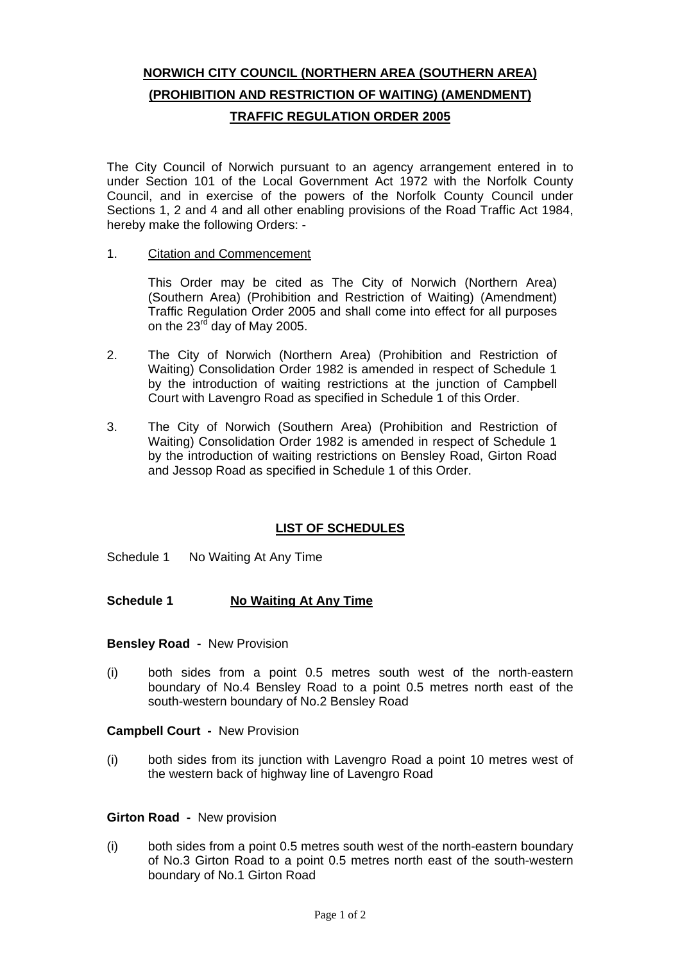# **NORWICH CITY COUNCIL (NORTHERN AREA (SOUTHERN AREA) (PROHIBITION AND RESTRICTION OF WAITING) (AMENDMENT) TRAFFIC REGULATION ORDER 2005**

The City Council of Norwich pursuant to an agency arrangement entered in to under Section 101 of the Local Government Act 1972 with the Norfolk County Council, and in exercise of the powers of the Norfolk County Council under Sections 1, 2 and 4 and all other enabling provisions of the Road Traffic Act 1984, hereby make the following Orders: -

1. Citation and Commencement

This Order may be cited as The City of Norwich (Northern Area) (Southern Area) (Prohibition and Restriction of Waiting) (Amendment) Traffic Regulation Order 2005 and shall come into effect for all purposes on the 23<sup>rd</sup> day of May 2005.

- 2. The City of Norwich (Northern Area) (Prohibition and Restriction of Waiting) Consolidation Order 1982 is amended in respect of Schedule 1 by the introduction of waiting restrictions at the junction of Campbell Court with Lavengro Road as specified in Schedule 1 of this Order.
- 3. The City of Norwich (Southern Area) (Prohibition and Restriction of Waiting) Consolidation Order 1982 is amended in respect of Schedule 1 by the introduction of waiting restrictions on Bensley Road, Girton Road and Jessop Road as specified in Schedule 1 of this Order.

## **LIST OF SCHEDULES**

Schedule 1 No Waiting At Any Time

## **Schedule 1 No Waiting At Any Time**

**Bensley Road -** New Provision

(i) both sides from a point 0.5 metres south west of the north-eastern boundary of No.4 Bensley Road to a point 0.5 metres north east of the south-western boundary of No.2 Bensley Road

## **Campbell Court -** New Provision

(i) both sides from its junction with Lavengro Road a point 10 metres west of the western back of highway line of Lavengro Road

#### **Girton Road -** New provision

(i) both sides from a point 0.5 metres south west of the north-eastern boundary of No.3 Girton Road to a point 0.5 metres north east of the south-western boundary of No.1 Girton Road